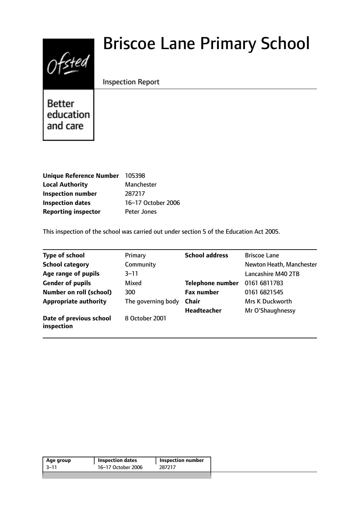# $0$ fsted

# Briscoe Lane Primary School

# Inspection Report

**Better** education and care

| <b>Unique Reference Number</b> | 105398             |
|--------------------------------|--------------------|
| <b>Local Authority</b>         | Manchester         |
| <b>Inspection number</b>       | 287217             |
| <b>Inspection dates</b>        | 16-17 October 2006 |
| <b>Reporting inspector</b>     | Peter Jones        |

This inspection of the school was carried out under section 5 of the Education Act 2005.

| Type of school                        | Primary            | <b>School address</b>   | <b>Briscoe Lane</b>      |
|---------------------------------------|--------------------|-------------------------|--------------------------|
| <b>School category</b>                | Community          |                         | Newton Heath, Manchester |
| Age range of pupils                   | $3 - 11$           |                         | Lancashire M40 2TB       |
| <b>Gender of pupils</b>               | Mixed              | <b>Telephone number</b> | 0161 6811783             |
| <b>Number on roll (school)</b>        | 300                | <b>Fax number</b>       | 0161 6821545             |
| <b>Appropriate authority</b>          | The governing body | <b>Chair</b>            | Mrs K Duckworth          |
|                                       |                    | <b>Headteacher</b>      | Mr O'Shaughnessy         |
| Date of previous school<br>inspection | 8 October 2001     |                         |                          |

| 16-17 October 2006<br>-3–11<br>287217 | Age group | <b>Inspection dates</b> | <b>Inspection number</b> |
|---------------------------------------|-----------|-------------------------|--------------------------|
|                                       |           |                         |                          |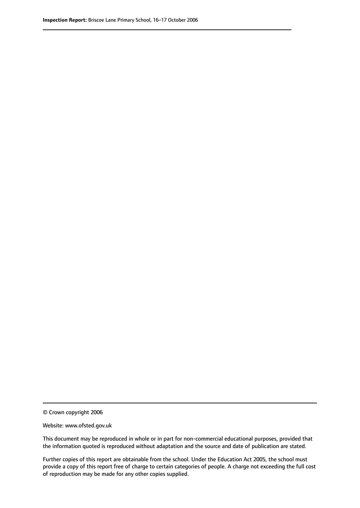© Crown copyright 2006

Website: www.ofsted.gov.uk

This document may be reproduced in whole or in part for non-commercial educational purposes, provided that the information quoted is reproduced without adaptation and the source and date of publication are stated.

Further copies of this report are obtainable from the school. Under the Education Act 2005, the school must provide a copy of this report free of charge to certain categories of people. A charge not exceeding the full cost of reproduction may be made for any other copies supplied.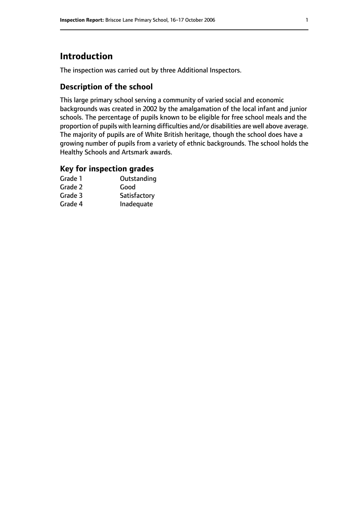# **Introduction**

The inspection was carried out by three Additional Inspectors.

# **Description of the school**

This large primary school serving a community of varied social and economic backgrounds was created in 2002 by the amalgamation of the local infant and junior schools. The percentage of pupils known to be eligible for free school meals and the proportion of pupils with learning difficulties and/or disabilities are well above average. The majority of pupils are of White British heritage, though the school does have a growing number of pupils from a variety of ethnic backgrounds. The school holds the Healthy Schools and Artsmark awards.

# **Key for inspection grades**

| Grade 1 | Outstanding  |
|---------|--------------|
| Grade 2 | Good         |
| Grade 3 | Satisfactory |
| Grade 4 | Inadequate   |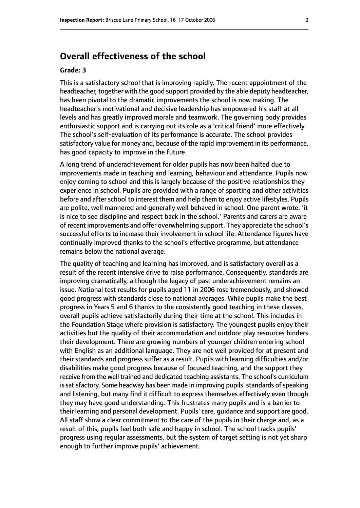# **Overall effectiveness of the school**

#### **Grade: 3**

This is a satisfactory school that is improving rapidly. The recent appointment of the headteacher, together with the good support provided by the able deputy headteacher, has been pivotal to the dramatic improvements the school is now making. The headteacher's motivational and decisive leadership has empowered his staff at all levels and has greatly improved morale and teamwork. The governing body provides enthusiastic support and is carrying out its role as a 'critical friend' more effectively. The school's self-evaluation of its performance is accurate. The school provides satisfactory value for money and, because of the rapid improvement in its performance, has good capacity to improve in the future.

A long trend of underachievement for older pupils has now been halted due to improvements made in teaching and learning, behaviour and attendance. Pupils now enjoy coming to school and this is largely because of the positive relationships they experience in school. Pupils are provided with a range of sporting and other activities before and after school to interest them and help them to enjoy active lifestyles. Pupils are polite, well mannered and generally well behaved in school. One parent wrote: 'it is nice to see discipline and respect back in the school.' Parents and carers are aware of recent improvements and offer overwhelming support. They appreciate the school's successful efforts to increase their involvement in school life. Attendance figures have continually improved thanks to the school's effective programme, but attendance remains below the national average.

The quality of teaching and learning has improved, and is satisfactory overall as a result of the recent intensive drive to raise performance. Consequently, standards are improving dramatically, although the legacy of past underachievement remains an issue. National test results for pupils aged 11 in 2006 rose tremendously, and showed good progress with standards close to national averages. While pupils make the best progress in Years 5 and 6 thanks to the consistently good teaching in these classes, overall pupils achieve satisfactorily during their time at the school. This includes in the Foundation Stage where provision is satisfactory. The youngest pupils enjoy their activities but the quality of their accommodation and outdoor play resources hinders their development. There are growing numbers of younger children entering school with English as an additional language. They are not well provided for at present and their standards and progress suffer as a result. Pupils with learning difficulties and/or disabilities make good progress because of focused teaching, and the support they receive from the well trained and dedicated teaching assistants. The school's curriculum is satisfactory. Some headway has been made in improving pupils' standards of speaking and listening, but many find it difficult to express themselves effectively even though they may have good understanding. This frustrates many pupils and is a barrier to their learning and personal development. Pupils' care, guidance and support are good. All staff show a clear commitment to the care of the pupils in their charge and, as a result of this, pupils feel both safe and happy in school. The school tracks pupils' progress using regular assessments, but the system of target setting is not yet sharp enough to further improve pupils' achievement.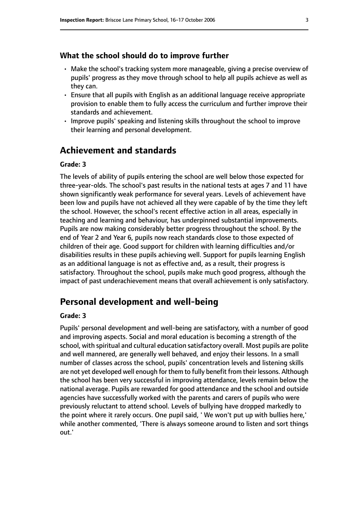#### **What the school should do to improve further**

- Make the school's tracking system more manageable, giving a precise overview of pupils' progress as they move through school to help all pupils achieve as well as they can.
- Ensure that all pupils with English as an additional language receive appropriate provision to enable them to fully access the curriculum and further improve their standards and achievement.
- Improve pupils' speaking and listening skills throughout the school to improve their learning and personal development.

## **Achievement and standards**

#### **Grade: 3**

The levels of ability of pupils entering the school are well below those expected for three-year-olds. The school's past results in the national tests at ages 7 and 11 have shown significantly weak performance for several years. Levels of achievement have been low and pupils have not achieved all they were capable of by the time they left the school. However, the school's recent effective action in all areas, especially in teaching and learning and behaviour, has underpinned substantial improvements. Pupils are now making considerably better progress throughout the school. By the end of Year 2 and Year 6, pupils now reach standards close to those expected of children of their age. Good support for children with learning difficulties and/or disabilities results in these pupils achieving well. Support for pupils learning English as an additional language is not as effective and, as a result, their progress is satisfactory. Throughout the school, pupils make much good progress, although the impact of past underachievement means that overall achievement is only satisfactory.

### **Personal development and well-being**

#### **Grade: 3**

Pupils' personal development and well-being are satisfactory, with a number of good and improving aspects. Social and moral education is becoming a strength of the school, with spiritual and cultural education satisfactory overall. Most pupils are polite and well mannered, are generally well behaved, and enjoy their lessons. In a small number of classes across the school, pupils' concentration levels and listening skills are not yet developed well enough for them to fully benefit from their lessons. Although the school has been very successful in improving attendance, levels remain below the national average. Pupils are rewarded for good attendance and the school and outside agencies have successfully worked with the parents and carers of pupils who were previously reluctant to attend school. Levels of bullying have dropped markedly to the point where it rarely occurs. One pupil said, ' We won't put up with bullies here,' while another commented, 'There is always someone around to listen and sort things out.'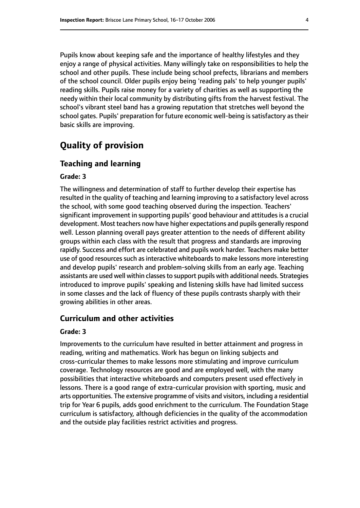Pupils know about keeping safe and the importance of healthy lifestyles and they enjoy a range of physical activities. Many willingly take on responsibilities to help the school and other pupils. These include being school prefects, librarians and members of the school council. Older pupils enjoy being 'reading pals' to help younger pupils' reading skills. Pupils raise money for a variety of charities as well as supporting the needy within their local community by distributing gifts from the harvest festival. The school's vibrant steel band has a growing reputation that stretches well beyond the school gates. Pupils' preparation for future economic well-being is satisfactory as their basic skills are improving.

# **Quality of provision**

#### **Teaching and learning**

#### **Grade: 3**

The willingness and determination of staff to further develop their expertise has resulted in the quality of teaching and learning improving to a satisfactory level across the school, with some good teaching observed during the inspection. Teachers' significant improvement in supporting pupils' good behaviour and attitudes is a crucial development. Most teachers now have higher expectations and pupils generally respond well. Lesson planning overall pays greater attention to the needs of different ability groups within each class with the result that progress and standards are improving rapidly. Success and effort are celebrated and pupils work harder. Teachers make better use of good resources such as interactive whiteboards to make lessons more interesting and develop pupils' research and problem-solving skills from an early age. Teaching assistants are used well within classes to support pupils with additional needs. Strategies introduced to improve pupils' speaking and listening skills have had limited success in some classes and the lack of fluency of these pupils contrasts sharply with their growing abilities in other areas.

#### **Curriculum and other activities**

#### **Grade: 3**

Improvements to the curriculum have resulted in better attainment and progress in reading, writing and mathematics. Work has begun on linking subjects and cross-curricular themes to make lessons more stimulating and improve curriculum coverage. Technology resources are good and are employed well, with the many possibilities that interactive whiteboards and computers present used effectively in lessons. There is a good range of extra-curricular provision with sporting, music and arts opportunities. The extensive programme of visits and visitors, including a residential trip for Year 6 pupils, adds good enrichment to the curriculum. The Foundation Stage curriculum is satisfactory, although deficiencies in the quality of the accommodation and the outside play facilities restrict activities and progress.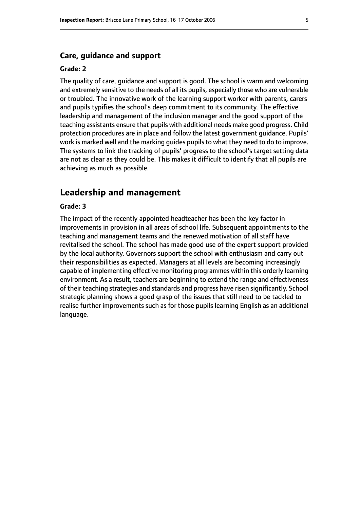#### **Care, guidance and support**

#### **Grade: 2**

The quality of care, guidance and support is good. The school is warm and welcoming and extremely sensitive to the needs of all its pupils, especially those who are vulnerable or troubled. The innovative work of the learning support worker with parents, carers and pupils typifies the school's deep commitment to its community. The effective leadership and management of the inclusion manager and the good support of the teaching assistants ensure that pupils with additional needs make good progress. Child protection procedures are in place and follow the latest government guidance. Pupils' work is marked well and the marking quides pupils to what they need to do to improve. The systems to link the tracking of pupils' progress to the school's target setting data are not as clear as they could be. This makes it difficult to identify that all pupils are achieving as much as possible.

# **Leadership and management**

#### **Grade: 3**

The impact of the recently appointed headteacher has been the key factor in improvements in provision in all areas of school life. Subsequent appointments to the teaching and management teams and the renewed motivation of all staff have revitalised the school. The school has made good use of the expert support provided by the local authority. Governors support the school with enthusiasm and carry out their responsibilities as expected. Managers at all levels are becoming increasingly capable of implementing effective monitoring programmes within this orderly learning environment. As a result, teachers are beginning to extend the range and effectiveness of their teaching strategies and standards and progress have risen significantly. School strategic planning shows a good grasp of the issues that still need to be tackled to realise further improvements such as for those pupils learning English as an additional language.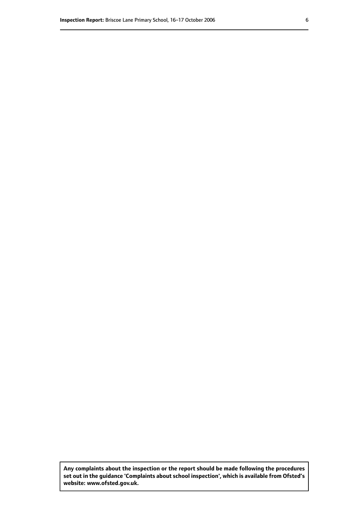**Any complaints about the inspection or the report should be made following the procedures set out inthe guidance 'Complaints about school inspection', whichis available from Ofsted's website: www.ofsted.gov.uk.**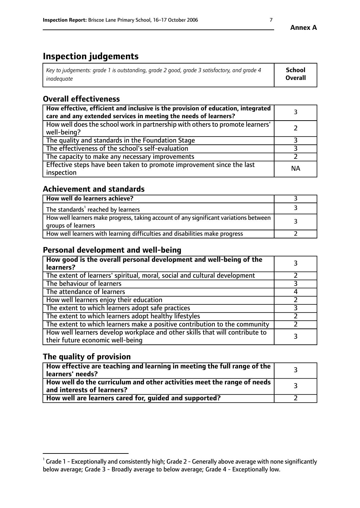# **Inspection judgements**

| Key to judgements: grade 1 is outstanding, grade 2 good, grade 3 satisfactory, and grade 4 | <b>School</b>  |
|--------------------------------------------------------------------------------------------|----------------|
| inadeauate                                                                                 | <b>Overall</b> |

# **Overall effectiveness**

| How effective, efficient and inclusive is the provision of education, integrated<br>care and any extended services in meeting the needs of learners? |           |
|------------------------------------------------------------------------------------------------------------------------------------------------------|-----------|
| How well does the school work in partnership with others to promote learners'<br>well-being?                                                         |           |
| The quality and standards in the Foundation Stage                                                                                                    |           |
| The effectiveness of the school's self-evaluation                                                                                                    |           |
| The capacity to make any necessary improvements                                                                                                      |           |
| Effective steps have been taken to promote improvement since the last<br>inspection                                                                  | <b>NA</b> |

# **Achievement and standards**

| How well do learners achieve?                                                                               |  |
|-------------------------------------------------------------------------------------------------------------|--|
| The standards <sup>1</sup> reached by learners                                                              |  |
| How well learners make progress, taking account of any significant variations between<br>groups of learners |  |
| How well learners with learning difficulties and disabilities make progress                                 |  |

# **Personal development and well-being**

| How good is the overall personal development and well-being of the<br>learners?                                  |  |
|------------------------------------------------------------------------------------------------------------------|--|
| The extent of learners' spiritual, moral, social and cultural development                                        |  |
| The behaviour of learners                                                                                        |  |
| The attendance of learners                                                                                       |  |
| How well learners enjoy their education                                                                          |  |
| The extent to which learners adopt safe practices                                                                |  |
| The extent to which learners adopt healthy lifestyles                                                            |  |
| The extent to which learners make a positive contribution to the community                                       |  |
| How well learners develop workplace and other skills that will contribute to<br>their future economic well-being |  |

# **The quality of provision**

| How effective are teaching and learning in meeting the full range of the<br>learners' needs?          |  |
|-------------------------------------------------------------------------------------------------------|--|
| How well do the curriculum and other activities meet the range of needs<br>and interests of learners? |  |
| How well are learners cared for, guided and supported?                                                |  |

 $^1$  Grade 1 - Exceptionally and consistently high; Grade 2 - Generally above average with none significantly below average; Grade 3 - Broadly average to below average; Grade 4 - Exceptionally low.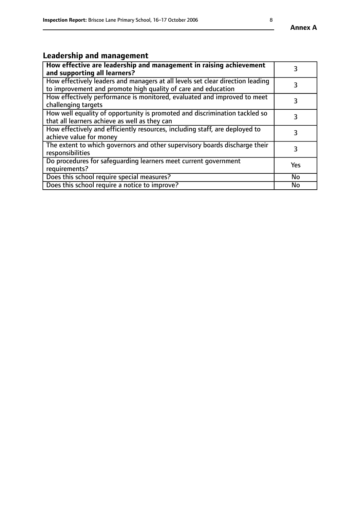#### **Annex A**

# **Leadership and management**

| How effective are leadership and management in raising achievement<br>and supporting all learners?                                              |           |
|-------------------------------------------------------------------------------------------------------------------------------------------------|-----------|
| How effectively leaders and managers at all levels set clear direction leading<br>to improvement and promote high quality of care and education |           |
| How effectively performance is monitored, evaluated and improved to meet<br>challenging targets                                                 | 3         |
| How well equality of opportunity is promoted and discrimination tackled so<br>that all learners achieve as well as they can                     |           |
| How effectively and efficiently resources, including staff, are deployed to<br>achieve value for money                                          | 3         |
| The extent to which governors and other supervisory boards discharge their<br>responsibilities                                                  | 3         |
| Do procedures for safequarding learners meet current government<br>requirements?                                                                | Yes       |
| Does this school require special measures?                                                                                                      | <b>No</b> |
| Does this school require a notice to improve?                                                                                                   | No        |